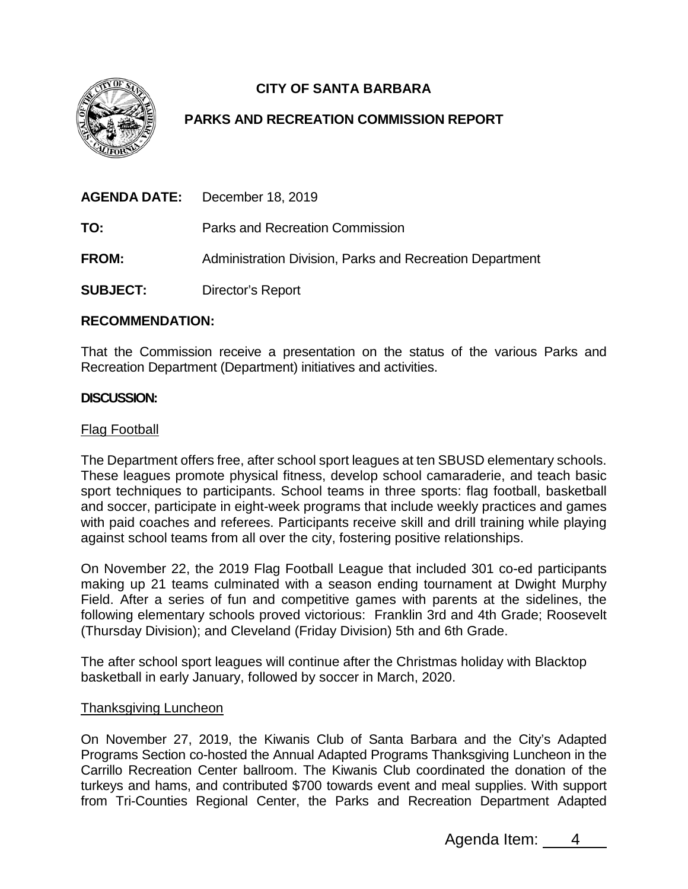

# **CITY OF SANTA BARBARA**

# **PARKS AND RECREATION COMMISSION REPORT**

|                 | <b>AGENDA DATE:</b> December 18, 2019                    |
|-----------------|----------------------------------------------------------|
| TO:             | Parks and Recreation Commission                          |
| <b>FROM:</b>    | Administration Division, Parks and Recreation Department |
| <b>SUBJECT:</b> | Director's Report                                        |

## **RECOMMENDATION:**

That the Commission receive a presentation on the status of the various Parks and Recreation Department (Department) initiatives and activities.

## **DISCUSSION:**

#### Flag Football

The Department offers free, after school sport leagues at ten SBUSD elementary schools. These leagues promote physical fitness, develop school camaraderie, and teach basic sport techniques to participants. School teams in three sports: flag football, basketball and soccer, participate in eight-week programs that include weekly practices and games with paid coaches and referees. Participants receive skill and drill training while playing against school teams from all over the city, fostering positive relationships.

On November 22, the 2019 Flag Football League that included 301 co-ed participants making up 21 teams culminated with a season ending tournament at Dwight Murphy Field. After a series of fun and competitive games with parents at the sidelines, the following elementary schools proved victorious: Franklin 3rd and 4th Grade; Roosevelt (Thursday Division); and Cleveland (Friday Division) 5th and 6th Grade.

The after school sport leagues will continue after the Christmas holiday with Blacktop basketball in early January, followed by soccer in March, 2020.

#### Thanksgiving Luncheon

On November 27, 2019, the Kiwanis Club of Santa Barbara and the City's Adapted Programs Section co-hosted the Annual Adapted Programs Thanksgiving Luncheon in the Carrillo Recreation Center ballroom. The Kiwanis Club coordinated the donation of the turkeys and hams, and contributed \$700 towards event and meal supplies. With support from Tri-Counties Regional Center, the Parks and Recreation Department Adapted

Agenda Item: 4